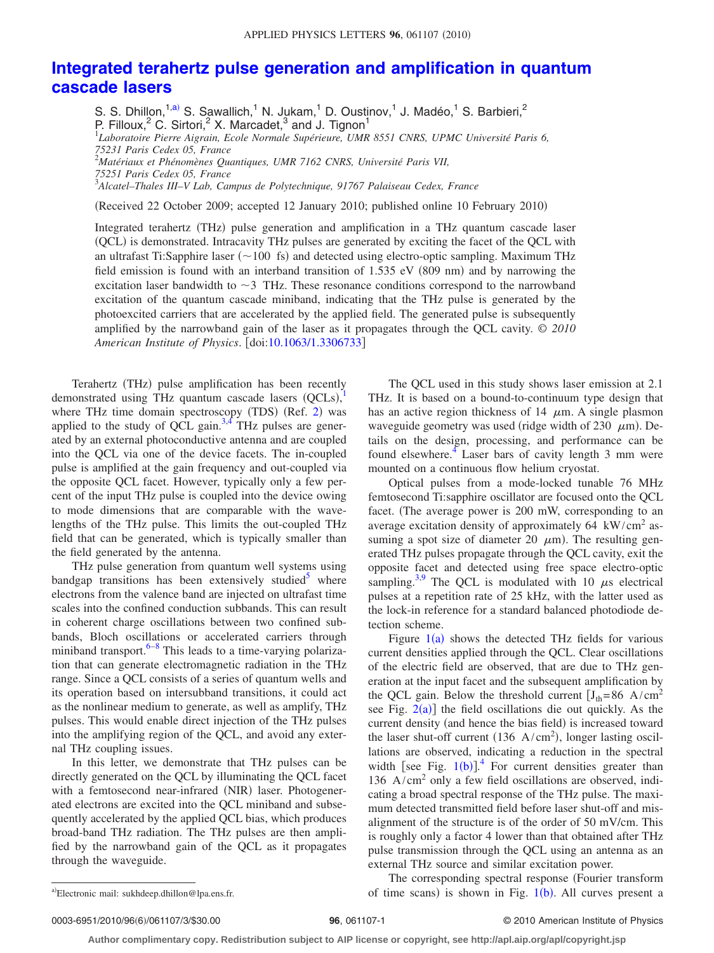## **[Integrated terahertz pulse generation and amplification in quantum](http://dx.doi.org/10.1063/1.3306733) [cascade lasers](http://dx.doi.org/10.1063/1.3306733)**

S. S. Dhillon,<sup>1[,a](#page-0-0))</sup> S. Sawallich,<sup>1</sup> N. Jukam,<sup>1</sup> D. Oustinov,<sup>1</sup> J. Madéo,<sup>1</sup> S. Barbieri,<sup>2</sup> P. Filloux,<sup>2</sup> C. Sirtori,<sup>2</sup> X. Marcadet,<sup>3</sup> and J. Tignon<sup>1</sup><br><sup>1</sup>Laboratoire Pierre Aigrain, Ecole Normale Supérieure, UMR 8551 CNRS, UPMC Université Paris 6, *75231 Paris Cedex 05, France* 2 *Matériaux et Phénomènes Quantiques, UMR 7162 CNRS, Université Paris VII, 75251 Paris Cedex 05, France* 3 *Alcatel–Thales III–V Lab, Campus de Polytechnique, 91767 Palaiseau Cedex, France*

(Received 22 October 2009; accepted 12 January 2010; published online 10 February 2010)

Integrated terahertz (THz) pulse generation and amplification in a THz quantum cascade laser (QCL) is demonstrated. Intracavity THz pulses are generated by exciting the facet of the QCL with an ultrafast Ti:Sapphire laser ( $\sim$ 100 fs) and detected using electro-optic sampling. Maximum THz field emission is found with an interband transition of  $1.535$  eV (809 nm) and by narrowing the excitation laser bandwidth to  $\sim$  3 THz. These resonance conditions correspond to the narrowband excitation of the quantum cascade miniband, indicating that the THz pulse is generated by the photoexcited carriers that are accelerated by the applied field. The generated pulse is subsequently amplified by the narrowband gain of the laser as it propagates through the QCL cavity. © *2010 American Institute of Physics*. doi[:10.1063/1.3306733](http://dx.doi.org/10.1063/1.3306733)

Terahertz (THz) pulse amplification has been recently demonstrated using THz quantum cascade lasers  $(QCLs)$ , where THz time domain spectroscopy (TDS) (Ref. [2](#page-2-1)) was applied to the study of QCL gain.<sup>3,[4](#page-2-3)</sup> THz pulses are generated by an external photoconductive antenna and are coupled into the QCL via one of the device facets. The in-coupled pulse is amplified at the gain frequency and out-coupled via the opposite QCL facet. However, typically only a few percent of the input THz pulse is coupled into the device owing to mode dimensions that are comparable with the wavelengths of the THz pulse. This limits the out-coupled THz field that can be generated, which is typically smaller than the field generated by the antenna.

THz pulse generation from quantum well systems using bandgap transitions has been extensively studied<sup>3</sup> where electrons from the valence band are injected on ultrafast time scales into the confined conduction subbands. This can result in coherent charge oscillations between two confined subbands, Bloch oscillations or accelerated carriers through miniband transport. $6-8$  This leads to a time-varying polarization that can generate electromagnetic radiation in the THz range. Since a QCL consists of a series of quantum wells and its operation based on intersubband transitions, it could act as the nonlinear medium to generate, as well as amplify, THz pulses. This would enable direct injection of the THz pulses into the amplifying region of the QCL, and avoid any external THz coupling issues.

In this letter, we demonstrate that THz pulses can be directly generated on the QCL by illuminating the QCL facet with a femtosecond near-infrared (NIR) laser. Photogenerated electrons are excited into the QCL miniband and subsequently accelerated by the applied QCL bias, which produces broad-band THz radiation. The THz pulses are then amplified by the narrowband gain of the QCL as it propagates through the waveguide.

The QCL used in this study shows laser emission at 2.1 THz. It is based on a bound-to-continuum type design that has an active region thickness of 14  $\mu$ m. A single plasmon waveguide geometry was used (ridge width of 230  $\mu$ m). Details on the design, processing, and performance can be found elsewhere. $4$  Laser bars of cavity length 3 mm were mounted on a continuous flow helium cryostat.

Optical pulses from a mode-locked tunable 76 MHz femtosecond Ti:sapphire oscillator are focused onto the QCL facet. The average power is 200 mW, corresponding to an average excitation density of approximately  $64 \, \text{kW/cm}^2$  assuming a spot size of diameter 20  $\mu$ m). The resulting generated THz pulses propagate through the QCL cavity, exit the opposite facet and detected using free space electro-optic sampling.<sup>3,[9](#page-2-7)</sup> The QCL is modulated with 10  $\mu$ s electrical pulses at a repetition rate of 25 kHz, with the latter used as the lock-in reference for a standard balanced photodiode detection scheme.

Figure  $1(a)$  $1(a)$  shows the detected THz fields for various current densities applied through the QCL. Clear oscillations of the electric field are observed, that are due to THz generation at the input facet and the subsequent amplification by the QCL gain. Below the threshold current  $[J_{th} = 86 \text{ A/cm}^2$ see Fig.  $2(a)$  $2(a)$ ] the field oscillations die out quickly. As the current density (and hence the bias field) is increased toward the laser shut-off current  $(136 \text{ A/cm}^2)$ , longer lasting oscillations are observed, indicating a reduction in the spectral width [see Fig.  $1(b)$  $1(b)$ ].<sup>[4](#page-2-3)</sup> For current densities greater than 136  $A/cm<sup>2</sup>$  only a few field oscillations are observed, indicating a broad spectral response of the THz pulse. The maximum detected transmitted field before laser shut-off and misalignment of the structure is of the order of 50 mV/cm. This is roughly only a factor 4 lower than that obtained after THz pulse transmission through the QCL using an antenna as an external THz source and similar excitation power.

<span id="page-0-0"></span>The corresponding spectral response (Fourier transform a)Electronic mail: sukhdeep.dhillon@lpa.ens.fr. 
of time scans) is shown in Fig. [1](#page-1-0)(b). All curves present a

Electronic mail: sukhdeep.dhillon@lpa.ens.fr.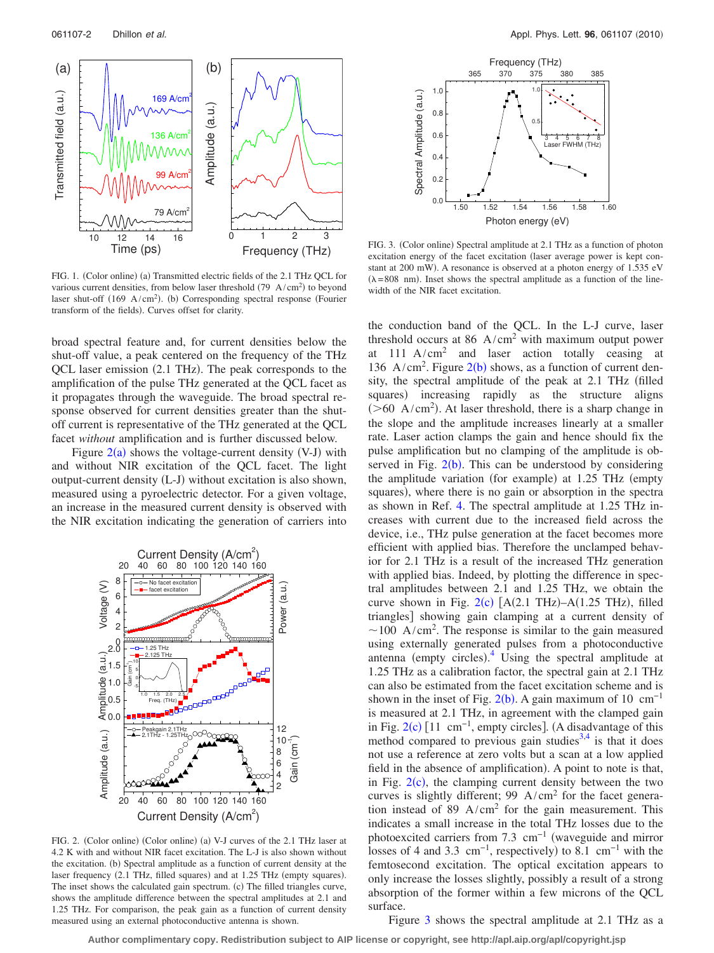<span id="page-1-0"></span>

FIG. 1. (Color online) (a) Transmitted electric fields of the 2.1 THz QCL for various current densities, from below laser threshold  $(79 \text{ A/cm}^2)$  to beyond laser shut-off  $(169 \text{ A/cm}^2)$ . (b) Corresponding spectral response (Fourier transform of the fields). Curves offset for clarity.

broad spectral feature and, for current densities below the shut-off value, a peak centered on the frequency of the THz QCL laser emission (2.1 THz). The peak corresponds to the amplification of the pulse THz generated at the QCL facet as it propagates through the waveguide. The broad spectral response observed for current densities greater than the shutoff current is representative of the THz generated at the QCL facet *without* amplification and is further discussed below.

Figure  $2(a)$  $2(a)$  shows the voltage-current density (V-J) with and without NIR excitation of the QCL facet. The light output-current density (L-J) without excitation is also shown, measured using a pyroelectric detector. For a given voltage, an increase in the measured current density is observed with the NIR excitation indicating the generation of carriers into

<span id="page-1-1"></span>

FIG. 2. (Color online) (Color online) (a) V-J curves of the 2.1 THz laser at 4.2 K with and without NIR facet excitation. The L-J is also shown without the excitation. (b) Spectral amplitude as a function of current density at the laser frequency (2.1 THz, filled squares) and at 1.25 THz (empty squares). The inset shows the calculated gain spectrum. (c) The filled triangles curve, shows the amplitude difference between the spectral amplitudes at 2.1 and 1.25 THz. For comparison, the peak gain as a function of current density measured using an external photoconductive antenna is shown.

<span id="page-1-2"></span>

FIG. 3. (Color online) Spectral amplitude at 2.1 THz as a function of photon excitation energy of the facet excitation (laser average power is kept constant at 200 mW). A resonance is observed at a photon energy of 1.535 eV  $(\lambda = 808 \text{ nm})$ . Inset shows the spectral amplitude as a function of the linewidth of the NIR facet excitation.

the conduction band of the QCL. In the L-J curve, laser threshold occurs at 86  $A/cm<sup>2</sup>$  with maximum output power at 111 A/cm2 and laser action totally ceasing at 136 A/cm<sup>[2](#page-1-1)</sup>. Figure  $2(b)$  shows, as a function of current density, the spectral amplitude of the peak at 2.1 THz (filled squares) increasing rapidly as the structure aligns  $($ >60 A/cm<sup>2</sup> $)$ . At laser threshold, there is a sharp change in the slope and the amplitude increases linearly at a smaller rate. Laser action clamps the gain and hence should fix the pulse amplification but no clamping of the amplitude is observed in Fig.  $2(b)$  $2(b)$ . This can be understood by considering the amplitude variation (for example) at 1.25 THz (empty squares), where there is no gain or absorption in the spectra as shown in Ref. [4.](#page-2-3) The spectral amplitude at 1.25 THz increases with current due to the increased field across the device, i.e., THz pulse generation at the facet becomes more efficient with applied bias. Therefore the unclamped behavior for 2.1 THz is a result of the increased THz generation with applied bias. Indeed, by plotting the difference in spectral amplitudes between 2.1 and 1.25 THz, we obtain the curve shown in Fig.  $2(c)$  $2(c)$  [A(2.1 THz)–A(1.25 THz), filled triangles] showing gain clamping at a current density of  $\sim$ 100 A/cm<sup>2</sup>. The response is similar to the gain measured using externally generated pulses from a photoconductive antenna (empty circles). $\frac{4}{1}$  $\frac{4}{1}$  $\frac{4}{1}$  Using the spectral amplitude at 1.25 THz as a calibration factor, the spectral gain at 2.1 THz can also be estimated from the facet excitation scheme and is shown in the inset of Fig.  $2(b)$  $2(b)$ . A gain maximum of 10 cm<sup>-1</sup> is measured at 2.1 THz, in agreement with the clamped gain in Fig.  $2(c)$  $2(c)$  [11 cm<sup>-1</sup>, empty circles]. (A disadvantage of this method compared to previous gain studies<sup>3,[4](#page-2-3)</sup> is that it does not use a reference at zero volts but a scan at a low applied field in the absence of amplification). A point to note is that, in Fig.  $2(c)$  $2(c)$ , the clamping current density between the two curves is slightly different; 99  $A/cm<sup>2</sup>$  for the facet generation instead of 89  $A/cm<sup>2</sup>$  for the gain measurement. This indicates a small increase in the total THz losses due to the photoexcited carriers from 7.3 cm<sup>-1</sup> (waveguide and mirror losses of 4 and 3.3 cm<sup>-1</sup>, respectively) to 8.1 cm<sup>-1</sup> with the femtosecond excitation. The optical excitation appears to only increase the losses slightly, possibly a result of a strong absorption of the former within a few microns of the QCL surface.

Figure [3](#page-1-2) shows the spectral amplitude at 2.1 THz as a

**Author complimentary copy. Redistribution subject to AIP license or copyright, see http://apl.aip.org/apl/copyright.jsp**